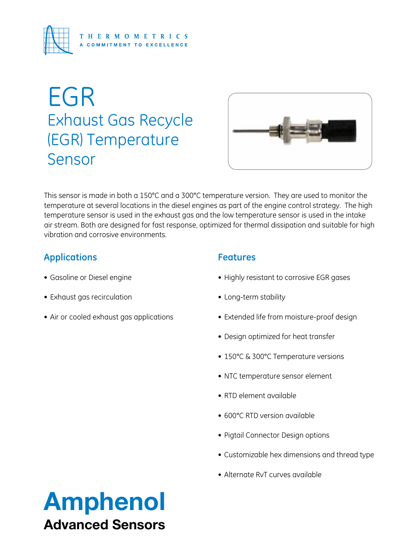

# EGR Exhaust Gas Recycle (EGR) Temperature Sensor



This sensor is made in both a 150°C and a 300°C temperature version. They are used to monitor the temperature at several locations in the diesel engines as part of the engine control strategy. The high temperature sensor is used in the exhaust gas and the low temperature sensor is used in the intake air stream. Both are designed for fast response, optimized for thermal dissipation and suitable for high vibration and corrosive environments.

# **Applications**

- • Gasoline or Diesel engine
- • Exhaust gas recirculation
- Air or cooled exhaust gas applications

# **Features**

- Highly resistant to corrosive EGR gases
- Long-term stability
- Extended life from moisture-proof design
- Design optimized for heat transfer
- 150°C & 300°C Temperature versions
- NTC temperature sensor element
- • RTD element available
- 600°C RTD version available
- Pigtail Connector Design options
- • Customizable hex dimensions and thread type
- Alternate RvT curves available

# Amphenol Advanced Sensors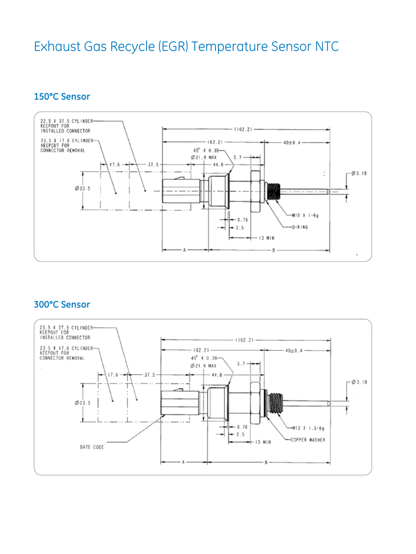# Exhaust Gas Recycle (EGR) Temperature Sensor NTC

# **150°C Sensor**



### **300°C Sensor**

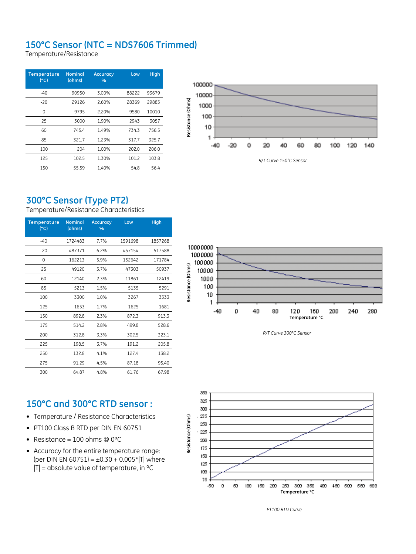# **150°C Sensor (NTC = NDS7606 Trimmed)**

Temperature/Resistance

| <b>Temperature</b><br>C <sub>1</sub> | <b>Nominal</b><br>(ohms) | <b>Accuracy</b><br>$\%$ | Low   | <b>High</b> |
|--------------------------------------|--------------------------|-------------------------|-------|-------------|
| $-40$                                | 90950                    | 3.00%                   | 88222 | 93679       |
| $-20$                                | 29126                    | 2.60%                   | 28369 | 29883       |
| 0                                    | 9795                     | 2.20%                   | 9580  | 10010       |
| 25                                   | 3000                     | 1.90%                   | 2943  | 3057        |
| 60                                   | 745.4                    | 1.49%                   | 734.3 | 756.5       |
| 85                                   | 321.7                    | 1.23%                   | 317.7 | 325.7       |
| 100                                  | 204                      | 1.00%                   | 202.0 | 206.0       |
| 125                                  | 102.5                    | 1.30%                   | 101.2 | 103.8       |
| 150                                  | 55.59                    | 1.40%                   | 54.8  | 56.4        |



# **300°C Sensor (Type PT2)**

Temperature/Resistance Characteristics

| <b>Temperature</b><br>(C) | <b>Nominal</b><br>(ohms) | <b>Accuracy</b><br>% | Low     | <b>High</b> |
|---------------------------|--------------------------|----------------------|---------|-------------|
| -40                       | 1724483                  | 7.7%                 | 1591698 | 1857268     |
| $-20$                     | 487371                   | 6.2%                 | 457154  | 517588      |
| 0                         | 162213                   | 5.9%                 | 152642  | 171784      |
| 25                        | 49120                    | 3.7%                 | 47303   | 50937       |
| 60                        | 12140                    | 2.3%                 | 11861   | 12419       |
| 85                        | 5213                     | 1.5%                 | 5135    | 5291        |
| 100                       | 3300                     | 1.0%                 | 3267    | 3333        |
| 125                       | 1653                     | 1.7%                 | 1625    | 1681        |
| 150                       | 892.8                    | 2.3%                 | 872.3   | 913.3       |
| 175                       | 514.2                    | 2.8%                 | 499.8   | 528.6       |
| 200                       | 312.8                    | 3.3%                 | 302.5   | 323.1       |
| 225                       | 198.5                    | 3.7%                 | 191.2   | 205.8       |
| 250                       | 132.8                    | 4.1%                 | 127.4   | 138.2       |
| 275                       | 91.29                    | 4.5%                 | 87.18   | 95.40       |
| 300                       | 64.87                    | 4.8%                 | 61.76   | 67.98       |



*R/T Curve 300°C Sensor*

## **150°C and 300°C RTD sensor :**

- Temperature / Resistance Characteristics
- PT100 Class B RTD per DIN EN 60751
- Resistance =  $100$  ohms @ 0 $^{\circ}$ C
- • Accuracy for the entire temperature range:  $[per\, DIN\, EN\, 60751] = \pm 0.30 + 0.005*|T|$  where  $|T|$  = absolute value of temperature, in  $^{\circ}C$



*PT100 RTD Curve*